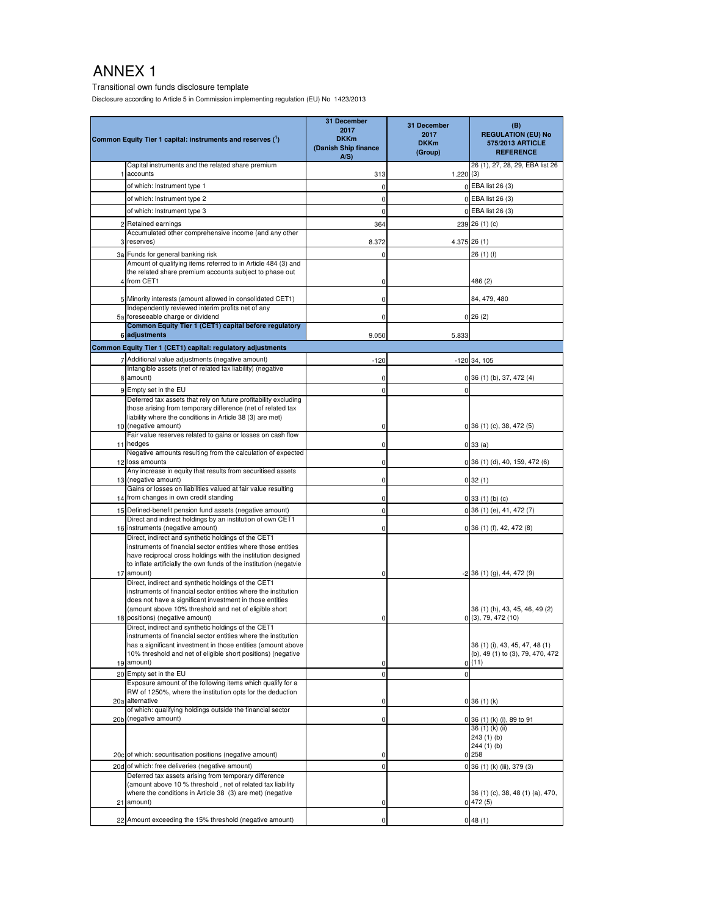Transitional own funds disclosure template

Disclosure according to Article 5 in Commission implementing regulation (EU) No 1423/2013

|                | Common Equity Tier 1 capital: instruments and reserves (1)                                                                         | 31 December<br>2017<br><b>DKKm</b><br>(Danish Ship finance<br>A/S | 31 December<br>2017<br><b>DKKm</b><br>(Group) | (B)<br><b>REGULATION (EU) No</b><br>575/2013 ARTICLE<br><b>REFERENCE</b> |
|----------------|------------------------------------------------------------------------------------------------------------------------------------|-------------------------------------------------------------------|-----------------------------------------------|--------------------------------------------------------------------------|
|                | Capital instruments and the related share premium<br>accounts                                                                      | 313                                                               | 1.220(3)                                      | 26 (1), 27, 28, 29, EBA list 26                                          |
|                | of which: Instrument type 1                                                                                                        | 0                                                                 |                                               | 0 EBA list 26 (3)                                                        |
|                | of which: Instrument type 2                                                                                                        | $\mathbf 0$                                                       |                                               | 0 EBA list 26 (3)                                                        |
|                | of which: Instrument type 3                                                                                                        | $\mathbf 0$                                                       |                                               | 0 EBA list 26 (3)                                                        |
| $\overline{2}$ | Retained earnings                                                                                                                  |                                                                   |                                               | 239 26 (1) (c)                                                           |
|                | Accumulated other comprehensive income (and any other                                                                              | 364                                                               |                                               |                                                                          |
| 3              | reserves)                                                                                                                          | 8.372                                                             |                                               | 4.375 26 (1)                                                             |
|                | 3a Funds for general banking risk                                                                                                  | 0                                                                 |                                               | 26 (1) (f)                                                               |
|                | Amount of qualifying items referred to in Article 484 (3) and<br>the related share premium accounts subject to phase out           |                                                                   |                                               |                                                                          |
|                | 4 from CET1                                                                                                                        | 0                                                                 |                                               | 486 (2)                                                                  |
|                |                                                                                                                                    |                                                                   |                                               |                                                                          |
|                | 5 Minority interests (amount allowed in consolidated CET1)                                                                         | 0                                                                 |                                               | 84, 479, 480                                                             |
|                | Independently reviewed interim profits net of any<br>5a foreseeable charge or dividend                                             | $\mathbf 0$                                                       |                                               | 0 26(2)                                                                  |
|                | Common Equity Tier 1 (CET1) capital before regulatory                                                                              |                                                                   |                                               |                                                                          |
|                | 6 adjustments                                                                                                                      | 9.050                                                             | 5.833                                         |                                                                          |
|                | Common Equity Tier 1 (CET1) capital: regulatory adjustments                                                                        |                                                                   |                                               |                                                                          |
|                | 7 Additional value adjustments (negative amount)                                                                                   | $-120$                                                            |                                               | $-120$ 34, 105                                                           |
|                | Intangible assets (net of related tax liability) (negative<br>8 amount)                                                            | $\mathbf 0$                                                       |                                               | $0$ 36 (1) (b), 37, 472 (4)                                              |
|                | 9 Empty set in the EU                                                                                                              | $\mathbf 0$                                                       | 0                                             |                                                                          |
|                | Deferred tax assets that rely on future profitability excluding                                                                    |                                                                   |                                               |                                                                          |
|                | those arising from temporary difference (net of related tax                                                                        |                                                                   |                                               |                                                                          |
|                | liability where the conditions in Article 38 (3) are met)                                                                          |                                                                   |                                               |                                                                          |
|                | 10 (negative amount)<br>Fair value reserves related to gains or losses on cash flow                                                | 0                                                                 |                                               | $0$ 36 (1) (c), 38, 472 (5)                                              |
|                | 11 hedges                                                                                                                          | 0                                                                 |                                               | 0 33(a)                                                                  |
|                | Negative amounts resulting from the calculation of expected                                                                        |                                                                   |                                               |                                                                          |
|                | 12 loss amounts<br>Any increase in equity that results from securitised assets                                                     | 0                                                                 |                                               | 0 36 (1) (d), 40, 159, 472 (6)                                           |
|                | 13 (negative amount)                                                                                                               | 0                                                                 |                                               | $0$ 32 $(1)$                                                             |
|                | Gains or losses on liabilities valued at fair value resulting                                                                      |                                                                   |                                               |                                                                          |
|                | 14 from changes in own credit standing                                                                                             | 0                                                                 |                                               | 0 33(1)(b)(c)                                                            |
|                | 15 Defined-benefit pension fund assets (negative amount)                                                                           | 0                                                                 |                                               | 0 36 (1) (e), 41, 472 (7)                                                |
|                | Direct and indirect holdings by an institution of own CET1<br>16 instruments (negative amount)                                     | 0                                                                 |                                               | 0 36 (1) (f), 42, 472 (8)                                                |
|                | Direct, indirect and synthetic holdings of the CET1                                                                                |                                                                   |                                               |                                                                          |
|                | instruments of financial sector entities where those entities                                                                      |                                                                   |                                               |                                                                          |
|                | have reciprocal cross holdings with the institution designed<br>to inflate artificially the own funds of the institution (negatvie |                                                                   |                                               |                                                                          |
|                | 17 amount)                                                                                                                         | 0                                                                 |                                               | $-2$ 36 (1) (g), 44, 472 (9)                                             |
|                | Direct, indirect and synthetic holdings of the CET1                                                                                |                                                                   |                                               |                                                                          |
|                | instruments of financial sector entities where the institution<br>does not have a significant investment in those entities         |                                                                   |                                               |                                                                          |
|                | (amount above 10% threshold and net of eligible short                                                                              |                                                                   |                                               | 36 (1) (h), 43, 45, 46, 49 (2)                                           |
|                | 18 positions) (negative amount)                                                                                                    | 0                                                                 |                                               | 0(3), 79, 472(10)                                                        |
|                | Direct, indirect and synthetic holdings of the CET1<br>instruments of financial sector entities where the institution              |                                                                   |                                               |                                                                          |
|                | has a significant investment in those entities (amount above                                                                       |                                                                   |                                               | 36 (1) (i), 43, 45, 47, 48 (1)                                           |
|                | 10% threshold and net of eligible short positions) (negative                                                                       |                                                                   |                                               | (b), 49 (1) to (3), 79, 470, 472                                         |
|                | 19 amount)                                                                                                                         | 0                                                                 |                                               | 0(11)                                                                    |
|                | 20 Empty set in the EU                                                                                                             | 0                                                                 | 0                                             |                                                                          |
|                | Exposure amount of the following items which qualify for a<br>RW of 1250%, where the institution opts for the deduction            |                                                                   |                                               |                                                                          |
|                | 20a alternative                                                                                                                    | 0                                                                 |                                               | 0 36(1)(k)                                                               |
|                | of which: qualifying holdings outside the financial sector                                                                         |                                                                   |                                               |                                                                          |
|                | 20b (negative amount)                                                                                                              | 0                                                                 |                                               | 0 36 (1) (k) (i), 89 to 91<br>36 (1) (k) (ii)                            |
|                |                                                                                                                                    |                                                                   |                                               | 243 (1) (b)                                                              |
|                |                                                                                                                                    |                                                                   |                                               | 244 (1) (b)                                                              |
|                | 20c of which: securitisation positions (negative amount)                                                                           | 0                                                                 |                                               | 0 258                                                                    |
|                | 20d of which: free deliveries (negative amount)<br>Deferred tax assets arising from temporary difference                           | $\mathbf 0$                                                       |                                               | 0 36 (1) (k) (iii), 379 (3)                                              |
|                | (amount above 10 % threshold, net of related tax liability                                                                         |                                                                   |                                               |                                                                          |
|                | where the conditions in Article 38 (3) are met) (negative                                                                          |                                                                   |                                               | 36 (1) (c), 38, 48 (1) (a), 470,                                         |
|                | 21 amount)                                                                                                                         | 0                                                                 |                                               | 0 472(5)                                                                 |
|                |                                                                                                                                    |                                                                   |                                               |                                                                          |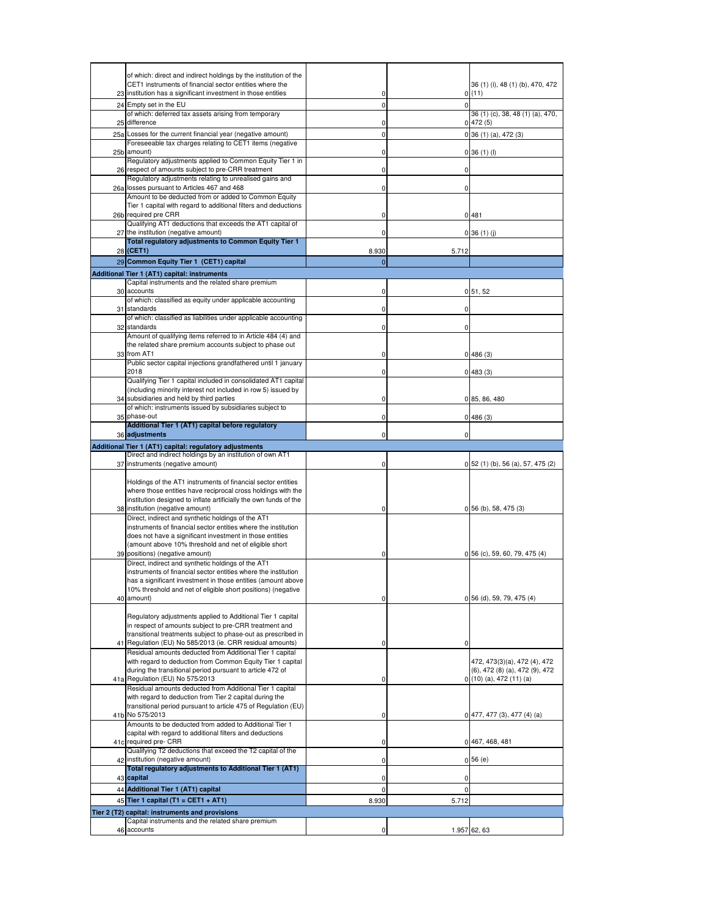|                 | of which: direct and indirect holdings by the institution of the<br>CET1 instruments of financial sector entities where the       |                      |          | 36 (1) (i), 48 (1) (b), 470, 472             |
|-----------------|-----------------------------------------------------------------------------------------------------------------------------------|----------------------|----------|----------------------------------------------|
|                 | 23 institution has a significant investment in those entities                                                                     | 0                    |          | 0(11)                                        |
| 24              | Empty set in the EU                                                                                                               | $\mathbf 0$          | $\Omega$ |                                              |
| 25              | of which: deferred tax assets arising from temporary<br>difference                                                                | 0                    |          | 36 (1) (c), 38, 48 (1) (a), 470,<br>0 472(5) |
| 25a             | Losses for the current financial year (negative amount)                                                                           | 0                    |          | $0$ 36 (1) (a), 472 (3)                      |
| 25 <sub>b</sub> | Foreseeable tax charges relating to CET1 items (negative<br>amount)                                                               | 0                    |          | $0$ 36 (1) (l)                               |
|                 | Regulatory adjustments applied to Common Equity Tier 1 in                                                                         |                      |          |                                              |
| 26              | respect of amounts subject to pre-CRR treatment<br>Regulatory adjustments relating to unrealised gains and                        | 0                    | 0        |                                              |
| 26a             | losses pursuant to Articles 467 and 468                                                                                           | 0                    | 0        |                                              |
|                 | Amount to be deducted from or added to Common Equity<br>Tier 1 capital with regard to additional filters and deductions           |                      |          |                                              |
|                 | 26b required pre CRR                                                                                                              | 0                    |          | 0481                                         |
| 27              | Qualifying AT1 deductions that exceeds the AT1 capital of<br>the institution (negative amount)                                    | 0                    |          | $0$ 36 (1) (j)                               |
|                 | Total regulatory adjustments to Common Equity Tier 1                                                                              |                      |          |                                              |
|                 | 28 (CET1)<br>29 Common Equity Tier 1 (CET1) capital                                                                               | 8.930<br>$\mathbf 0$ | 5.712    |                                              |
|                 | Additional Tier 1 (AT1) capital: instruments                                                                                      |                      |          |                                              |
|                 | Capital instruments and the related share premium                                                                                 |                      |          |                                              |
| 30              | accounts<br>of which: classified as equity under applicable accounting                                                            | 0                    |          | 0, 51, 52                                    |
| 31              | standards                                                                                                                         | 0                    | 0        |                                              |
| 32              | of which: classified as liabilities under applicable accounting<br>standards                                                      | 0                    | 0        |                                              |
|                 | Amount of qualifying items referred to in Article 484 (4) and                                                                     |                      |          |                                              |
| 33              | the related share premium accounts subject to phase out<br>from AT1                                                               | 0                    |          | 0 486(3)                                     |
|                 | Public sector capital injections grandfathered until 1 january                                                                    |                      |          |                                              |
|                 | 2018<br>Qualifying Tier 1 capital included in consolidated AT1 capital                                                            | 0                    |          | 0 483(3)                                     |
|                 | (including minority interest not included in row 5) issued by                                                                     |                      |          |                                              |
| 34              | subsidiaries and held by third parties<br>of which: instruments issued by subsidiaries subject to                                 | 0                    |          | 0 85, 86, 480                                |
| 35              | phase-out                                                                                                                         | 0                    |          | 0 486(3)                                     |
|                 | Additional Tier 1 (AT1) capital before regulatory<br>36 adjustments                                                               | 0                    | 0        |                                              |
|                 | Additional Tier 1 (AT1) capital: regulatory adjustments                                                                           |                      |          |                                              |
|                 | Direct and indirect holdings by an institution of own AT1                                                                         |                      |          |                                              |
| 37              | instruments (negative amount)                                                                                                     | 0                    |          | 0 52 (1) (b), 56 (a), 57, 475 (2)            |
|                 | Holdings of the AT1 instruments of financial sector entities                                                                      |                      |          |                                              |
|                 | where those entities have reciprocal cross holdings with the<br>institution designed to inflate artificially the own funds of the |                      |          |                                              |
|                 | 38 institution (negative amount)                                                                                                  | 0                    |          | $0$ 56 (b), 58, 475 (3)                      |
|                 | Direct, indirect and synthetic holdings of the AT1<br>instruments of financial sector entities where the institution              |                      |          |                                              |
|                 | does not have a significant investment in those entities                                                                          |                      |          |                                              |
| 39              | (amount above 10% threshold and net of eligible short<br>positions) (negative amount)                                             | 0                    |          | $0$ 56 (c), 59, 60, 79, 475 (4)              |
|                 | Direct, indirect and synthetic holdings of the AT1                                                                                |                      |          |                                              |
|                 | instruments of financial sector entities where the institution<br>has a significant investment in those entities (amount above    |                      |          |                                              |
|                 | 10% threshold and net of eligible short positions) (negative                                                                      |                      |          |                                              |
|                 | 40 amount)                                                                                                                        | 0                    |          | 0 56 (d), 59, 79, 475 (4)                    |
|                 | Regulatory adjustments applied to Additional Tier 1 capital                                                                       |                      |          |                                              |
|                 | in respect of amounts subject to pre-CRR treatment and<br>transitional treatments subject to phase-out as prescribed in           |                      |          |                                              |
| 41              | Regulation (EU) No 585/2013 (ie. CRR residual amounts)                                                                            | 0                    | 0        |                                              |
|                 | Residual amounts deducted from Additional Tier 1 capital<br>with regard to deduction from Common Equity Tier 1 capital            |                      |          | 472, 473(3)(a), 472 (4), 472                 |
|                 | during the transitional period pursuant to article 472 of                                                                         |                      |          | (6), 472 (8) (a), 472 (9), 472               |
|                 | 41a Regulation (EU) No 575/2013<br>Residual amounts deducted from Additional Tier 1 capital                                       | 0                    |          | $0(10)(a)$ , 472 (11) (a)                    |
|                 | with regard to deduction from Tier 2 capital during the                                                                           |                      |          |                                              |
|                 | transitional period pursuant to article 475 of Regulation (EU)<br>41b No 575/2013                                                 | 0                    |          | $0 477, 477(3), 477(4)$ (a)                  |
|                 | Amounts to be deducted from added to Additional Tier 1                                                                            |                      |          |                                              |
|                 | capital with regard to additional filters and deductions<br>41c required pre- CRR                                                 | 0                    |          | 0 467, 468, 481                              |
|                 | Qualifying T2 deductions that exceed the T2 capital of the                                                                        |                      |          |                                              |
| 42              | institution (negative amount)<br>Total regulatory adjustments to Additional Tier 1 (AT1)                                          | 0                    |          | 0,56(e)                                      |
|                 | 43 capital                                                                                                                        | 0                    | 0        |                                              |
|                 | 44 Additional Tier 1 (AT1) capital                                                                                                | 0                    | 0        |                                              |
|                 | 45 Tier 1 capital (T1 = CET1 + AT1)<br>Tier 2 (T2) capital: instruments and provisions                                            | 8.930                | 5.712    |                                              |
|                 | Capital instruments and the related share premium                                                                                 |                      |          |                                              |
|                 | 46 accounts                                                                                                                       | 0                    |          | 1.957 62, 63                                 |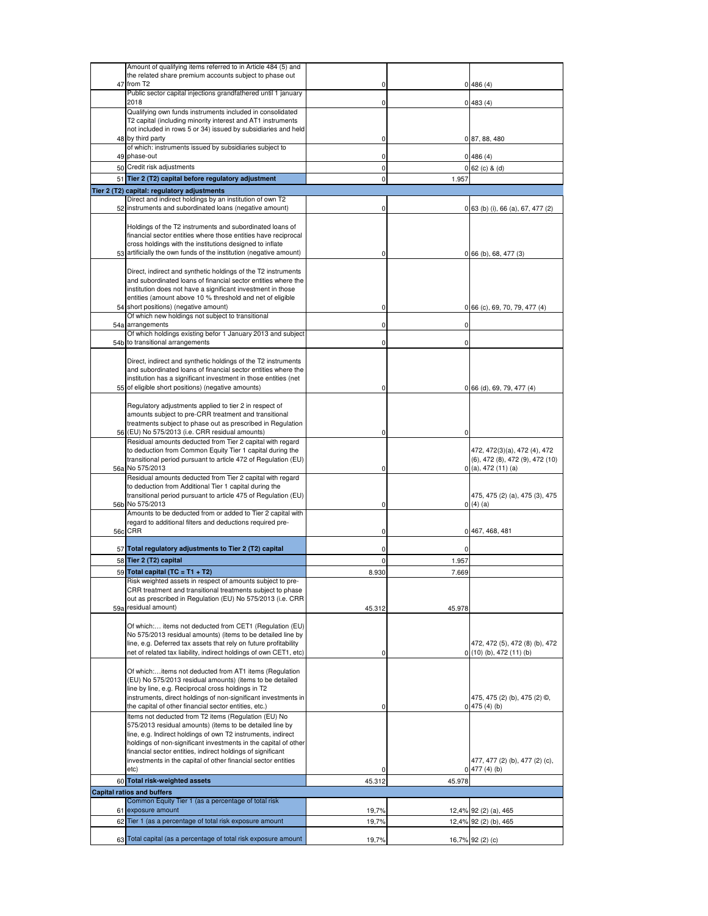|     | Amount of qualifying items referred to in Article 484 (5) and                                                                |           |        |                                            |
|-----|------------------------------------------------------------------------------------------------------------------------------|-----------|--------|--------------------------------------------|
|     | the related share premium accounts subject to phase out                                                                      |           |        |                                            |
| 47  | from T <sub>2</sub>                                                                                                          | 0         |        | 0 486(4)                                   |
|     | Public sector capital injections grandfathered until 1 january<br>2018                                                       |           |        |                                            |
|     | Qualifying own funds instruments included in consolidated                                                                    | 0         |        | 0 483(4)                                   |
|     | T2 capital (including minority interest and AT1 instruments                                                                  |           |        |                                            |
|     | not included in rows 5 or 34) issued by subsidiaries and held                                                                |           |        |                                            |
|     | 48 by third party                                                                                                            | 0         |        | 0 87, 88, 480                              |
| 49  | of which: instruments issued by subsidiaries subject to<br>phase-out                                                         | 0         |        |                                            |
|     | 50 Credit risk adjustments                                                                                                   | 0         |        | 0 486(4)<br>$0 62$ (c) & (d)               |
|     | 51 Tier 2 (T2) capital before regulatory adjustment                                                                          | $\pmb{0}$ | 1.957  |                                            |
|     | Tier 2 (T2) capital: regulatory adjustments                                                                                  |           |        |                                            |
|     | Direct and indirect holdings by an institution of own T2                                                                     |           |        |                                            |
|     | 52 instruments and subordinated loans (negative amount)                                                                      | 0         |        | 0 63 (b) (i), 66 (a), 67, 477 (2)          |
|     |                                                                                                                              |           |        |                                            |
|     | Holdings of the T2 instruments and subordinated loans of<br>financial sector entities where those entities have reciprocal   |           |        |                                            |
|     | cross holdings with the institutions designed to inflate                                                                     |           |        |                                            |
|     | 53 artificially the own funds of the institution (negative amount)                                                           | 0         |        | $0$ 66 (b), 68, 477 (3)                    |
|     |                                                                                                                              |           |        |                                            |
|     | Direct, indirect and synthetic holdings of the T2 instruments                                                                |           |        |                                            |
|     | and subordinated loans of financial sector entities where the<br>institution does not have a significant investment in those |           |        |                                            |
|     | entities (amount above 10 % threshold and net of eligible                                                                    |           |        |                                            |
| 54  | short positions) (negative amount)                                                                                           | 0         |        | 0 66 (c), 69, 70, 79, 477 (4)              |
|     | Of which new holdings not subject to transitional                                                                            |           |        |                                            |
|     | 54a arrangements                                                                                                             | 0         | 0      |                                            |
|     | Of which holdings existing befor 1 January 2013 and subject<br>54b to transitional arrangements                              | 0         | 0      |                                            |
|     |                                                                                                                              |           |        |                                            |
|     | Direct, indirect and synthetic holdings of the T2 instruments                                                                |           |        |                                            |
|     | and subordinated loans of financial sector entities where the                                                                |           |        |                                            |
|     | institution has a significant investment in those entities (net                                                              |           |        |                                            |
|     | 55 of eligible short positions) (negative amounts)                                                                           | 0         |        | 0 66 (d), 69, 79, 477 (4)                  |
|     | Regulatory adjustments applied to tier 2 in respect of                                                                       |           |        |                                            |
|     | amounts subject to pre-CRR treatment and transitional                                                                        |           |        |                                            |
|     | treatments subject to phase out as prescribed in Regulation                                                                  |           |        |                                            |
|     | 56 (EU) No 575/2013 (i.e. CRR residual amounts)                                                                              | 0         | 0      |                                            |
|     | Residual amounts deducted from Tier 2 capital with regard<br>to deduction from Common Equity Tier 1 capital during the       |           |        | 472, 472(3)(a), 472 (4), 472               |
|     | transitional period pursuant to article 472 of Regulation (EU)                                                               |           |        | $(6)$ , 472 $(8)$ , 472 $(9)$ , 472 $(10)$ |
|     | 56a No 575/2013                                                                                                              | 0         |        | $0($ a), 472 $(11)(a)$                     |
|     | Residual amounts deducted from Tier 2 capital with regard                                                                    |           |        |                                            |
|     | to deduction from Additional Tier 1 capital during the<br>transitional period pursuant to article 475 of Regulation (EU)     |           |        | 475, 475 (2) (a), 475 (3), 475             |
|     | 56b No 575/2013                                                                                                              | 0         |        | 0(4)(a)                                    |
|     | Amounts to be deducted from or added to Tier 2 capital with                                                                  |           |        |                                            |
|     | regard to additional filters and deductions required pre-                                                                    |           |        |                                            |
|     | 56c CRR                                                                                                                      | 0         |        | 0 467, 468, 481                            |
|     | 57 Total regulatory adjustments to Tier 2 (T2) capital                                                                       | 0         | 0      |                                            |
|     | 58 Tier 2 (T2) capital                                                                                                       | $\pmb{0}$ | 1.957  |                                            |
|     | 59 Total capital (TC = T1 + T2)                                                                                              | 8.930     | 7.669  |                                            |
|     | Hisk weighted assets in respect of amounts subject to pre-                                                                   |           |        |                                            |
|     | CRR treatment and transitional treatments subject to phase                                                                   |           |        |                                            |
|     | out as prescribed in Regulation (EU) No 575/2013 (i.e. CRR<br>residual amount)                                               |           |        |                                            |
| 59a |                                                                                                                              | 45.312    | 45.978 |                                            |
|     | Of which: items not deducted from CET1 (Regulation (EU)                                                                      |           |        |                                            |
|     | No 575/2013 residual amounts) (items to be detailed line by                                                                  |           |        |                                            |
|     | line, e.g. Deferred tax assets that rely on future profitability                                                             |           |        | 472, 472 (5), 472 (8) (b), 472             |
|     | net of related tax liability, indirect holdings of own CET1, etc)                                                            | 0         |        | $0(10)$ (b), 472 (11) (b)                  |
|     | Of which:items not deducted from AT1 items (Regulation                                                                       |           |        |                                            |
|     | (EU) No 575/2013 residual amounts) (items to be detailed                                                                     |           |        |                                            |
|     | line by line, e.g. Reciprocal cross holdings in T2                                                                           |           |        |                                            |
|     | instruments, direct holdings of non-significant investments in<br>the capital of other financial sector entities, etc.)      |           |        | 475, 475 (2) (b), 475 (2) ©,               |
|     | Items not deducted from T2 items (Regulation (EU) No                                                                         | 0         |        | 0 475(4)(b)                                |
|     | 575/2013 residual amounts) (items to be detailed line by                                                                     |           |        |                                            |
|     | line, e.g. Indirect holdings of own T2 instruments, indirect                                                                 |           |        |                                            |
|     | holdings of non-significant investments in the capital of other                                                              |           |        |                                            |
|     | financial sector entities, indirect holdings of significant<br>investments in the capital of other financial sector entities |           |        | 477, 477 (2) (b), 477 (2) (c),             |
|     | etc)                                                                                                                         | 0         |        | 0 477(4)(b)                                |
|     | 60 Total risk-weighted assets                                                                                                | 45.312    | 45.978 |                                            |
|     | <b>Capital ratios and buffers</b>                                                                                            |           |        |                                            |
|     | Common Equity Tier 1 (as a percentage of total risk                                                                          |           |        |                                            |
|     | 61 exposure amount                                                                                                           | 19,7%     |        | 12,4% 92 (2) (a), 465                      |
|     | 62 Tier 1 (as a percentage of total risk exposure amount                                                                     | 19,7%     |        | 12,4% 92 (2) (b), 465                      |
|     | 63 Total capital (as a percentage of total risk exposure amount                                                              |           |        |                                            |
|     |                                                                                                                              | 19,7%     |        | 16,7% 92 (2) (c)                           |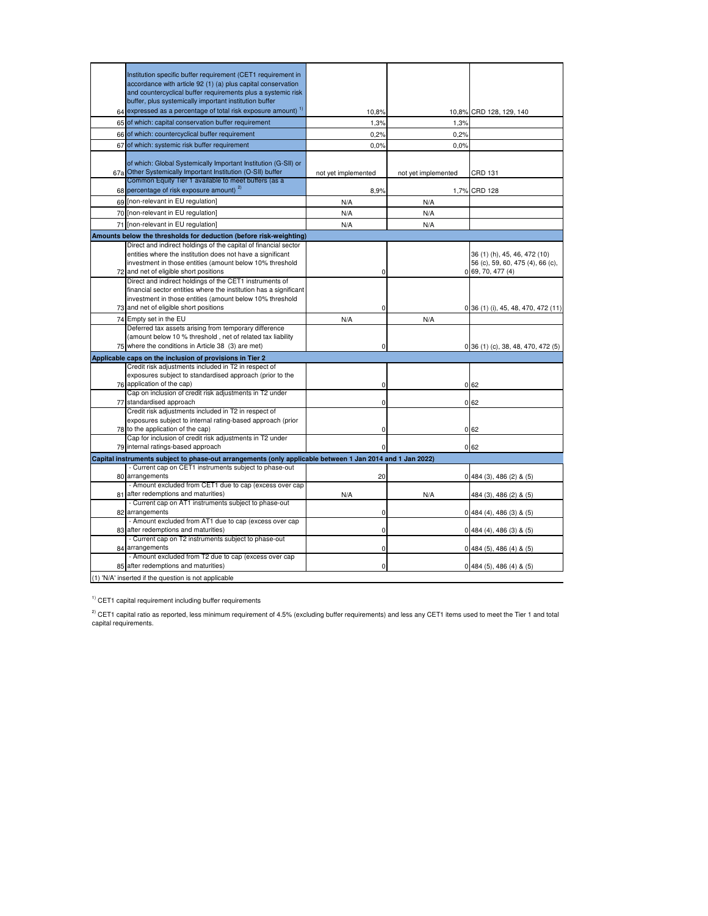|    | Institution specific buffer requirement (CET1 requirement in                                                                 |                     |                     |                                     |
|----|------------------------------------------------------------------------------------------------------------------------------|---------------------|---------------------|-------------------------------------|
|    | accordance with article 92 (1) (a) plus capital conservation                                                                 |                     |                     |                                     |
|    | and countercyclical buffer requirements plus a systemic risk                                                                 |                     |                     |                                     |
|    | buffer, plus systemically important institution buffer                                                                       |                     |                     |                                     |
|    | 64 expressed as a percentage of total risk exposure amount) <sup>1)</sup>                                                    | 10,8%               |                     | 10,8% CRD 128, 129, 140             |
|    | 65 of which: capital conservation buffer requirement                                                                         | 1,3%                | 1,3%                |                                     |
|    | 66 of which: countercyclical buffer requirement                                                                              | 0,2%                | 0,2%                |                                     |
| 67 | of which: systemic risk buffer requirement                                                                                   | 0,0%                | 0,0%                |                                     |
|    |                                                                                                                              |                     |                     |                                     |
|    | of which: Global Systemically Important Institution (G-SII) or                                                               |                     |                     |                                     |
|    | 67a Other Systemically Important Institution (O-SII) buffer                                                                  | not yet implemented | not yet implemented | CRD 131                             |
|    | Common Equity Tier 1 available to meet buffers (as a<br>68 percentage of risk exposure amount) <sup>2)</sup>                 | 8,9%                |                     | 1,7% CRD 128                        |
|    |                                                                                                                              |                     |                     |                                     |
|    | 69 [non-relevant in EU regulation]                                                                                           | N/A                 | N/A                 |                                     |
|    | 70 [non-relevant in EU regulation]                                                                                           | N/A                 | N/A                 |                                     |
|    | 71 [non-relevant in EU regulation]                                                                                           | N/A                 | N/A                 |                                     |
|    | Amounts below the thresholds for deduction (before risk-weighting)                                                           |                     |                     |                                     |
|    | Direct and indirect holdings of the capital of financial sector                                                              |                     |                     |                                     |
|    | entities where the institution does not have a significant                                                                   |                     |                     | 36 (1) (h), 45, 46, 472 (10)        |
|    | investment in those entities (amount below 10% threshold                                                                     |                     |                     | 56 (c), 59, 60, 475 (4), 66 (c),    |
|    | 72 and net of eligible short positions                                                                                       | 0                   |                     | 0 69, 70, 477(4)                    |
|    | Direct and indirect holdings of the CET1 instruments of<br>financial sector entities where the institution has a significant |                     |                     |                                     |
|    | investment in those entities (amount below 10% threshold                                                                     |                     |                     |                                     |
|    | 73 and net of eligible short positions                                                                                       | 0                   |                     | 0 36 (1) (i), 45, 48, 470, 472 (11) |
|    | 74 Empty set in the EU                                                                                                       | N/A                 | N/A                 |                                     |
|    | Deferred tax assets arising from temporary difference                                                                        |                     |                     |                                     |
|    | (amount below 10 % threshold, net of related tax liability                                                                   |                     |                     |                                     |
|    | 75 where the conditions in Article 38 (3) are met)                                                                           | 0                   |                     | 0 36 (1) (c), 38, 48, 470, 472 (5)  |
|    | Applicable caps on the inclusion of provisions in Tier 2                                                                     |                     |                     |                                     |
|    | Credit risk adjustments included in T2 in respect of                                                                         |                     |                     |                                     |
|    | exposures subject to standardised approach (prior to the                                                                     |                     |                     |                                     |
|    | 76 application of the cap)                                                                                                   | 0                   |                     | 062                                 |
|    | Cap on inclusion of credit risk adjustments in T2 under<br>77 standardised approach                                          | 0                   |                     | 062                                 |
|    | Credit risk adjustments included in T2 in respect of                                                                         |                     |                     |                                     |
|    | exposures subject to internal rating-based approach (prior                                                                   |                     |                     |                                     |
|    | 78 to the application of the cap)                                                                                            | 0                   |                     | 062                                 |
|    | Cap for inclusion of credit risk adjustments in T2 under                                                                     |                     |                     |                                     |
|    | 79 internal ratings-based approach                                                                                           | 0                   |                     | 062                                 |
|    | Capital instruments subject to phase-out arrangements (only applicable between 1 Jan 2014 and 1 Jan 2022)                    |                     |                     |                                     |
|    | - Current cap on CET1 instruments subject to phase-out                                                                       |                     |                     |                                     |
|    | 80 arrangements                                                                                                              | 20                  |                     | $0$ 484 (3), 486 (2) & (5)          |
|    | - Amount excluded from CET1 due to cap (excess over cap                                                                      |                     |                     |                                     |
|    | 81 after redemptions and maturities)                                                                                         | N/A                 | N/A                 | 484 (3), 486 (2) & (5)              |
|    | - Current cap on AT1 instruments subject to phase-out<br>82 arrangements                                                     | 0                   |                     |                                     |
|    | - Amount excluded from AT1 due to cap (excess over cap                                                                       |                     |                     | $0$ 484 (4), 486 (3) & (5)          |
|    | 83 after redemptions and maturities)                                                                                         | 0                   |                     | $0$ 484 (4), 486 (3) & (5)          |
|    | - Current cap on T2 instruments subject to phase-out                                                                         |                     |                     |                                     |
|    | 84 arrangements                                                                                                              | 0                   |                     | $0$ 484 (5), 486 (4) & (5)          |
|    | - Amount excluded from T2 due to cap (excess over cap                                                                        |                     |                     |                                     |
|    | 85 after redemptions and maturities)                                                                                         | 0                   |                     | $0$ 484 (5), 486 (4) & (5)          |
|    | (1) 'N/A' inserted if the question is not applicable                                                                         |                     |                     |                                     |

 $1)$  CET1 capital requirement including buffer requirements

<sup>2)</sup> CET1 capital ratio as reported, less minimum requirement of 4.5% (excluding buffer requirements) and less any CET1 items used to meet the Tier 1 and total<br>capital requirements.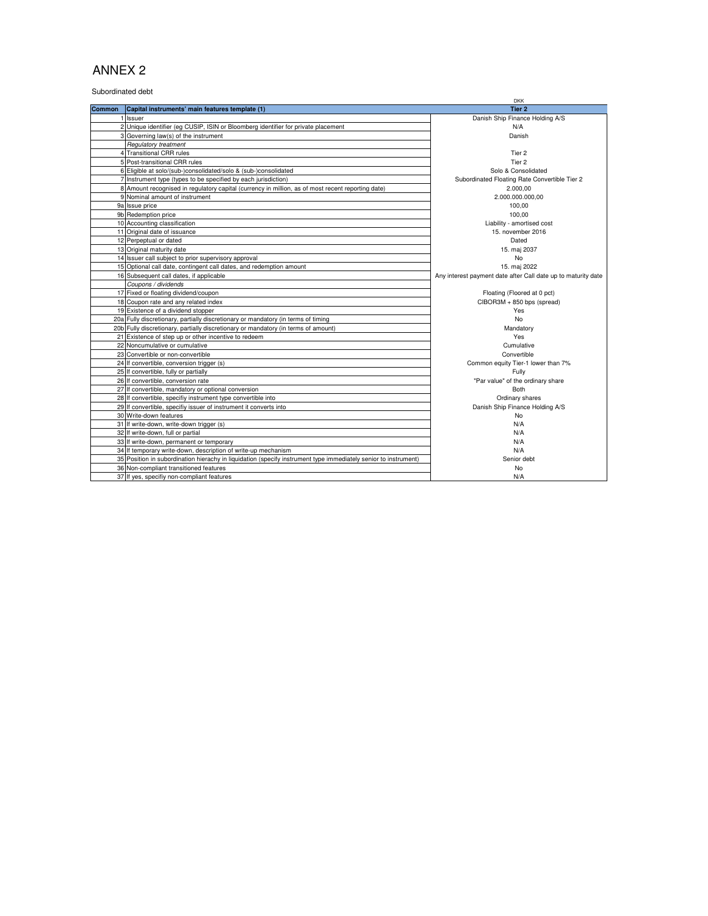Subordinated debt

|                |                                                                                                                 | <b>DKK</b>                                                    |
|----------------|-----------------------------------------------------------------------------------------------------------------|---------------------------------------------------------------|
| <b>Common</b>  | Capital instruments' main features template (1)                                                                 | Tier <sub>2</sub>                                             |
|                | Issuer                                                                                                          | Danish Ship Finance Holding A/S                               |
| $\overline{2}$ | Unique identifier (eg CUSIP, ISIN or Bloomberg identifier for private placement                                 | N/A                                                           |
|                | 3 Governing law(s) of the instrument                                                                            | Danish                                                        |
|                | <b>Regulatory treatment</b>                                                                                     |                                                               |
|                | 4 Transitional CRR rules                                                                                        | Tier <sub>2</sub>                                             |
|                | 5 Post-transitional CRR rules                                                                                   | Tier <sub>2</sub>                                             |
|                | 6 Eligible at solo/(sub-)consolidated/solo & (sub-)consolidated                                                 | Solo & Consolidated                                           |
|                | 7 Instrument type (types to be specified by each jurisdiction)                                                  | Subordinated Floating Rate Convertible Tier 2                 |
|                | 8 Amount recognised in regulatory capital (currency in million, as of most recent reporting date)               | 2.000.00                                                      |
|                | 9 Nominal amount of instrument                                                                                  | 2.000.000.000,00                                              |
|                | 9a Issue price                                                                                                  | 100.00                                                        |
|                | 9b Redemption price                                                                                             | 100.00                                                        |
|                | 10 Accounting classification                                                                                    | Liability - amortised cost                                    |
|                | 11 Original date of issuance                                                                                    | 15. november 2016                                             |
|                | 12 Perpeptual or dated                                                                                          | Dated                                                         |
|                | 13 Original maturity date                                                                                       | 15. maj 2037                                                  |
|                | 14 Issuer call subject to prior supervisory approval                                                            | <b>No</b>                                                     |
|                | 15 Optional call date, contingent call dates, and redemption amount                                             | 15. maj 2022                                                  |
|                | 16 Subsequent call dates, if applicable                                                                         | Any interest payment date after Call date up to maturity date |
|                | Coupons / dividends                                                                                             |                                                               |
|                | 17 Fixed or floating dividend/coupon                                                                            | Floating (Floored at 0 pct)                                   |
|                | 18 Coupon rate and any related index                                                                            | CIBOR3M + 850 bps (spread)                                    |
|                | 19 Existence of a dividend stopper                                                                              | Yes                                                           |
|                | 20a Fully discretionary, partially discretionary or mandatory (in terms of timing                               | No                                                            |
|                | 20b Fully discretionary, partially discretionary or mandatory (in terms of amount)                              | Mandatory                                                     |
|                | 21 Existence of step up or other incentive to redeem                                                            | Yes                                                           |
|                | 22 Noncumulative or cumulative                                                                                  | Cumulative                                                    |
|                | 23 Convertible or non-convertible                                                                               | Convertible                                                   |
|                | 24 If convertible, conversion trigger (s)                                                                       | Common equity Tier-1 lower than 7%                            |
|                | 25 If convertible, fully or partially                                                                           | Fully                                                         |
|                | 26 If convertible, conversion rate                                                                              | "Par value" of the ordinary share                             |
|                | 27 If convertible, mandatory or optional conversion                                                             | <b>Both</b>                                                   |
|                | 28 If convertible, specifiy instrument type convertible into                                                    | Ordinary shares                                               |
|                | 29 If convertible, specifiy issuer of instrument it converts into                                               | Danish Ship Finance Holding A/S                               |
|                | 30 Write-down features                                                                                          | No                                                            |
|                | 31 If write-down, write-down trigger (s)                                                                        | N/A                                                           |
|                | 32 If write-down, full or partial                                                                               | N/A                                                           |
|                | 33 If write-down, permanent or temporary                                                                        | N/A                                                           |
|                | 34 If temporary write-down, description of write-up mechanism                                                   | N/A                                                           |
|                | 35 Position in subordination hierachy in liquidation (specify instrument type immediately senior to instrument) | Senior debt                                                   |
|                | 36 Non-compliant transitioned features                                                                          | No                                                            |
|                | 37 If yes, specifiy non-compliant features                                                                      | N/A                                                           |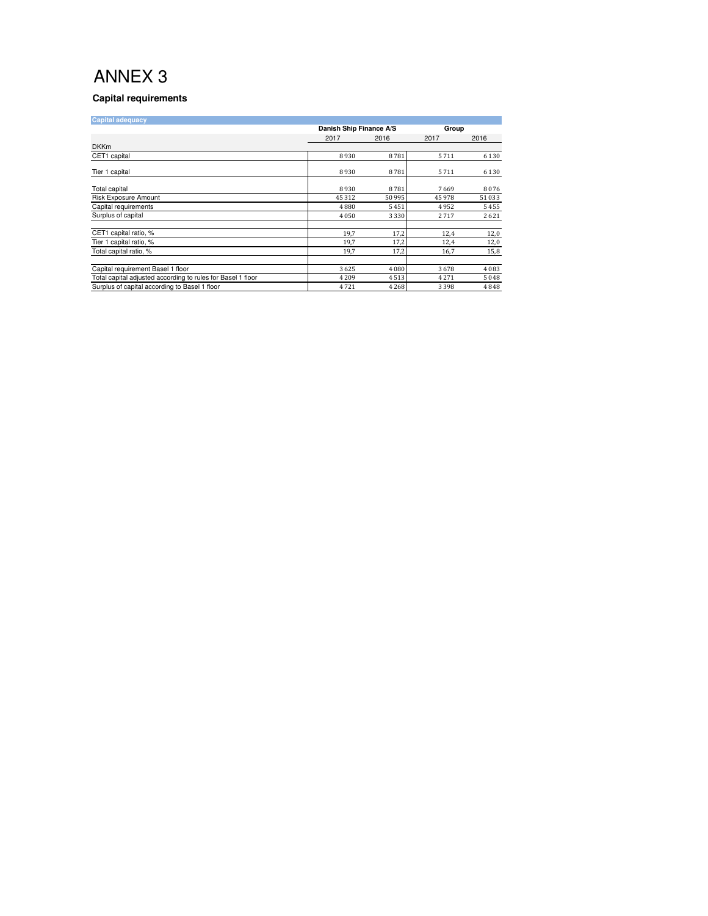#### **Capital requirements**

| <b>Capital adequacy</b>                                     |         |                                  |        |         |
|-------------------------------------------------------------|---------|----------------------------------|--------|---------|
|                                                             |         | Danish Ship Finance A/S<br>Group |        |         |
|                                                             | 2017    | 2016                             | 2017   | 2016    |
| <b>DKKm</b>                                                 |         |                                  |        |         |
| CET1 capital                                                | 8930    | 8781                             | 5711   | 6 1 3 0 |
| Tier 1 capital                                              | 8930    | 8781                             | 5711   | 6 1 3 0 |
| Total capital                                               | 8930    | 8781                             | 7669   | 8076    |
| Risk Exposure Amount                                        | 45 312  | 50 995                           | 45 978 | 51 033  |
| Capital requirements                                        | 4880    | 5451                             | 4952   | 5455    |
| Surplus of capital                                          | 4050    | 3 3 3 0                          | 2717   | 2621    |
| CET1 capital ratio, %                                       | 19,7    | 17,2                             | 12,4   | 12,0    |
| Tier 1 capital ratio, %                                     | 19,7    | 17,2                             | 12,4   | 12,0    |
| Total capital ratio, %                                      | 19,7    | 17,2                             | 16,7   | 15,8    |
|                                                             |         |                                  |        |         |
| Capital requirement Basel 1 floor                           | 3625    | 4 0 8 0                          | 3678   | 4 0 8 3 |
| Total capital adjusted according to rules for Basel 1 floor | 4 2 0 9 | 4513                             | 4271   | 5048    |
| Surplus of capital according to Basel 1 floor               | 4721    | 4 2 6 8                          | 3398   | 4848    |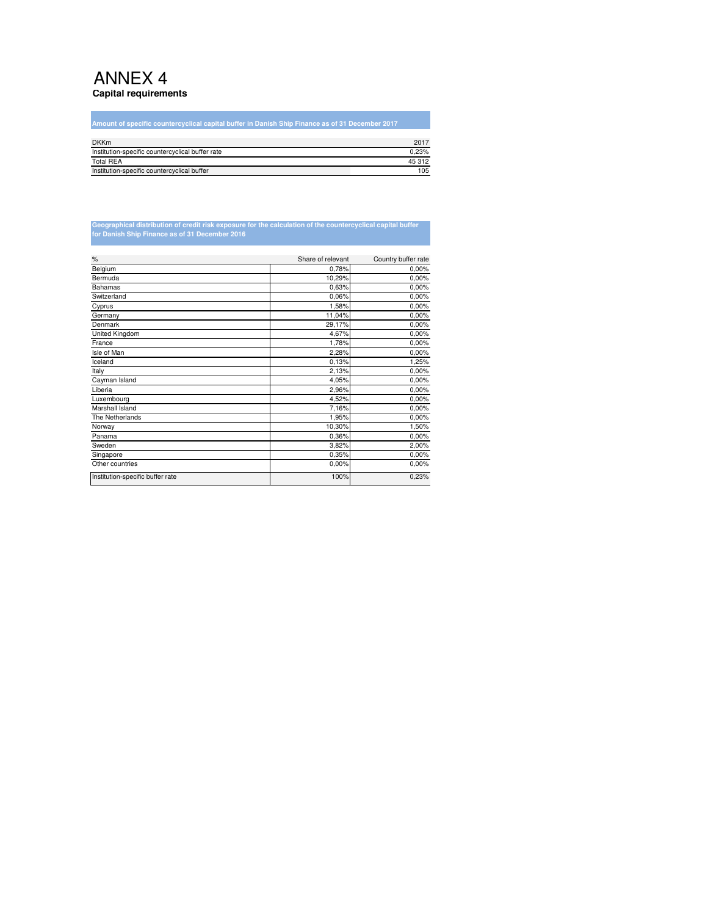### ANNEX 4 **Capital requirements**

г

| Amount of specific countercyclical capital buffer in Danish Ship Finance as of 31 December 2017 |        |
|-------------------------------------------------------------------------------------------------|--------|
|                                                                                                 |        |
| <b>DKKm</b>                                                                                     | 2017   |
| Institution-specific countercyclical buffer rate                                                | 0.23%  |
| <b>Total REA</b>                                                                                | 45 312 |
| Institution-specific countercyclical buffer                                                     | 105    |

# **Geographical distribution of credit risk exposure for the calculation of the countercyclical capital buffer for Danish Ship Finance as of 31 December 2016**

| $\%$                             | Share of relevant | Country buffer rate |
|----------------------------------|-------------------|---------------------|
| Belgium                          | 0,78%             | 0,00%               |
| Bermuda                          | 10,29%            | 0,00%               |
| <b>Bahamas</b>                   | 0,63%             | 0,00%               |
| Switzerland                      | 0,06%             | 0,00%               |
| Cyprus                           | 1,58%             | 0,00%               |
| Germany                          | 11,04%            | 0,00%               |
| Denmark                          | 29,17%            | 0,00%               |
| United Kingdom                   | 4,67%             | 0,00%               |
| France                           | 1,78%             | 0,00%               |
| Isle of Man                      | 2,28%             | 0,00%               |
| Iceland                          | 0,13%             | 1,25%               |
| Italy                            | 2,13%             | 0,00%               |
| Cayman Island                    | 4,05%             | 0,00%               |
| Liberia                          | 2,96%             | 0,00%               |
| Luxembourg                       | 4,52%             | 0,00%               |
| Marshall Island                  | 7,16%             | 0,00%               |
| The Netherlands                  | 1,95%             | 0,00%               |
| Norway                           | 10,30%            | 1,50%               |
| Panama                           | 0,36%             | 0,00%               |
| Sweden                           | 3,82%             | 2,00%               |
| Singapore                        | 0,35%             | 0,00%               |
| Other countries                  | 0,00%             | 0,00%               |
| Institution-specific buffer rate | 100%              | 0,23%               |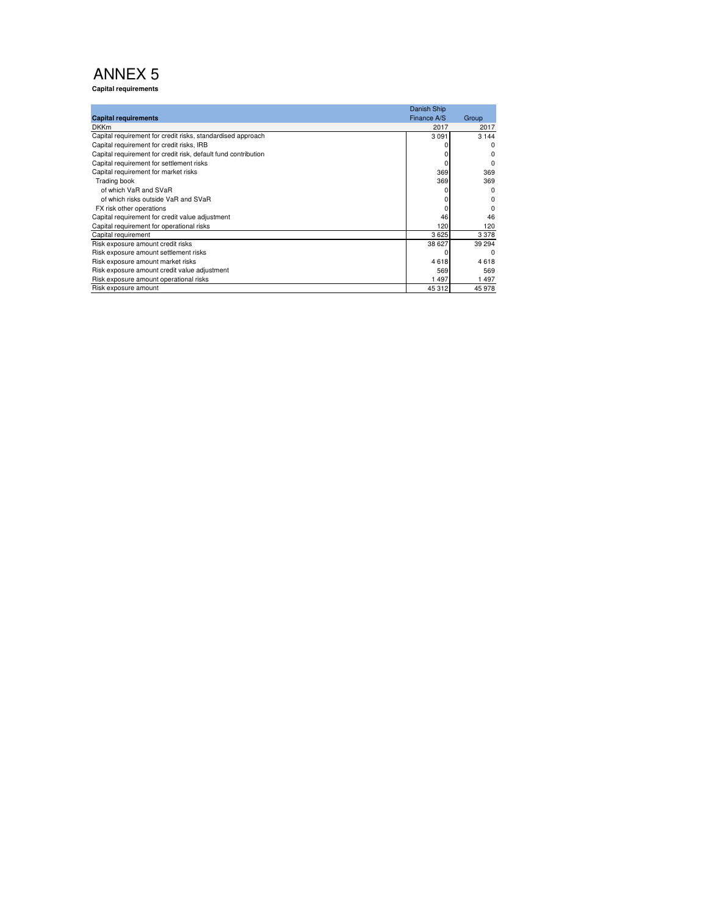**Capital requirements**

| <b>Capital requirements</b>                                    | Danish Ship<br>Finance A/S | Group   |
|----------------------------------------------------------------|----------------------------|---------|
| <b>DKKm</b>                                                    | 2017                       | 2017    |
| Capital requirement for credit risks, standardised approach    | 3 0 9 1                    | 3 1 4 4 |
| Capital requirement for credit risks, IRB                      |                            | ŋ       |
| Capital requirement for credit risk, default fund contribution |                            | 0       |
| Capital requirement for settlement risks                       |                            | 0       |
| Capital requirement for market risks                           | 369                        | 369     |
| Trading book                                                   | 369                        | 369     |
| of which VaR and SVaR                                          |                            | ŋ       |
| of which risks outside VaR and SVaR                            |                            | 0       |
| FX risk other operations                                       |                            | ŋ       |
| Capital requirement for credit value adjustment                | 46                         | 46      |
| Capital requirement for operational risks                      | 120                        | 120     |
| Capital requirement                                            | 3625                       | 3378    |
| Risk exposure amount credit risks                              | 38 627                     | 39 294  |
| Risk exposure amount settlement risks                          |                            | ŋ       |
| Risk exposure amount market risks                              | 4618                       | 4618    |
| Risk exposure amount credit value adjustment                   | 569                        | 569     |
| Risk exposure amount operational risks                         | 1497                       | 1497    |
| Risk exposure amount                                           | 45 312                     | 45 978  |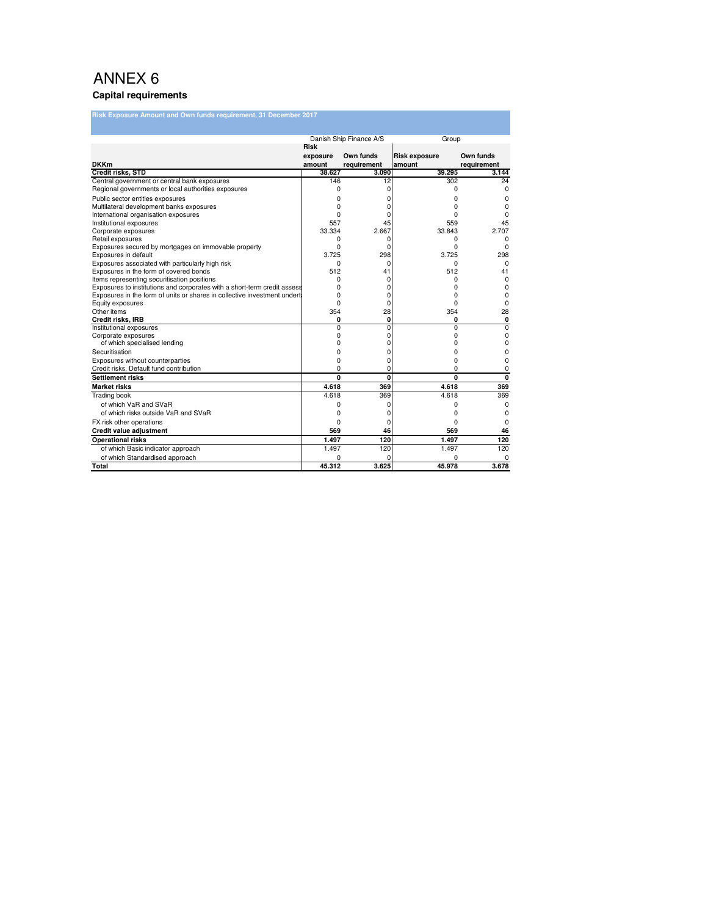#### **Capital requirements**

| <b>Risk Exposure Amount and Own funds requirement, 31 December 2017</b>   |                |                         |                      |                   |
|---------------------------------------------------------------------------|----------------|-------------------------|----------------------|-------------------|
|                                                                           |                |                         |                      |                   |
|                                                                           |                | Danish Ship Finance A/S | Group                |                   |
|                                                                           | Risk           |                         |                      |                   |
|                                                                           | exposure       | Own funds               | <b>Risk exposure</b> | Own funds         |
| <b>DKKm</b>                                                               | amount         | requirement             | amount               | requirement       |
| <b>Credit risks, STD</b><br>Central government or central bank exposures  | 38.627<br>146  | 3.090<br>12             | 39.295<br>302        | 3.144<br>24       |
| Regional governments or local authorities exposures                       | 0              | 0                       | 0                    | 0                 |
| Public sector entities exposures                                          | 0              |                         |                      |                   |
| Multilateral development banks exposures                                  | 0              | ŋ                       | 0<br>0               | 0<br>$\Omega$     |
| International organisation exposures                                      | 0              |                         | ŋ                    | $\Omega$          |
| Institutional exposures                                                   | 557            | 45                      | 559                  | 45                |
| Corporate exposures                                                       | 33.334         | 2.667                   | 33.843               | 2.707             |
| Retail exposures                                                          | 0              |                         | 0                    | 0                 |
| Exposures secured by mortgages on immovable property                      | 0              |                         | 0                    | <sup>0</sup>      |
| Exposures in default                                                      | 3.725          | 298                     | 3.725                | 298               |
| Exposures associated with particularly high risk                          | 0              |                         | 0                    | $\Omega$          |
| Exposures in the form of covered bonds                                    | 512            | 41                      | 512                  | 41                |
| Items representing securitisation positions                               | 0              |                         | 0                    | $\Omega$          |
| Exposures to institutions and corporates with a short-term credit assess  | 0              |                         | ŋ                    | $\Omega$          |
| Exposures in the form of units or shares in collective investment underta | 0              | $\Omega$                | 0                    | 0                 |
| Equity exposures                                                          | 0              | ŋ                       | 0                    | 0                 |
| Other items                                                               | 354            | 28                      | 354                  | 28                |
| Credit risks, IRB                                                         | 0              | $\mathbf{0}$            | 0                    | 0                 |
| Institutional exposures                                                   | $\overline{0}$ | $\Omega$                | $\overline{0}$       | 0                 |
| Corporate exposures                                                       | 0<br>0         | 0                       | 0                    | 0                 |
| of which specialised lending                                              |                | 0                       | 0                    | 0                 |
| Securitisation                                                            | 0              | n                       | 0                    | 0                 |
| Exposures without counterparties                                          | 0              | $\Omega$                | 0                    | 0                 |
| Credit risks, Default fund contribution                                   | 0<br>0         | 0<br>$\mathbf{0}$       | O<br>0               | 0<br>$\mathbf{0}$ |
| <b>Settlement risks</b>                                                   |                | 369                     |                      |                   |
| <b>Market risks</b>                                                       | 4.618<br>4.618 | 369                     | 4.618<br>4.618       | 369<br>369        |
| <b>Trading book</b>                                                       |                |                         |                      |                   |
| of which VaR and SVaR                                                     | 0              |                         | 0                    | $\Omega$          |
| of which risks outside VaR and SVaR                                       | 0              | ŋ                       | 0                    | <sup>0</sup>      |
| FX risk other operations                                                  | 0              | $\Omega$                | 0                    | $\Omega$          |
| Credit value adjustment                                                   | 569            | 46                      | 569                  | 46                |
| <b>Operational risks</b>                                                  | 1.497          | 120                     | 1.497                | 120               |
| of which Basic indicator approach                                         | 1.497          | 120                     | 1.497                | 120               |
| of which Standardised approach                                            |                |                         | ٢                    |                   |
| Total                                                                     | 45.312         | 3.625                   | 45.978               | 3.678             |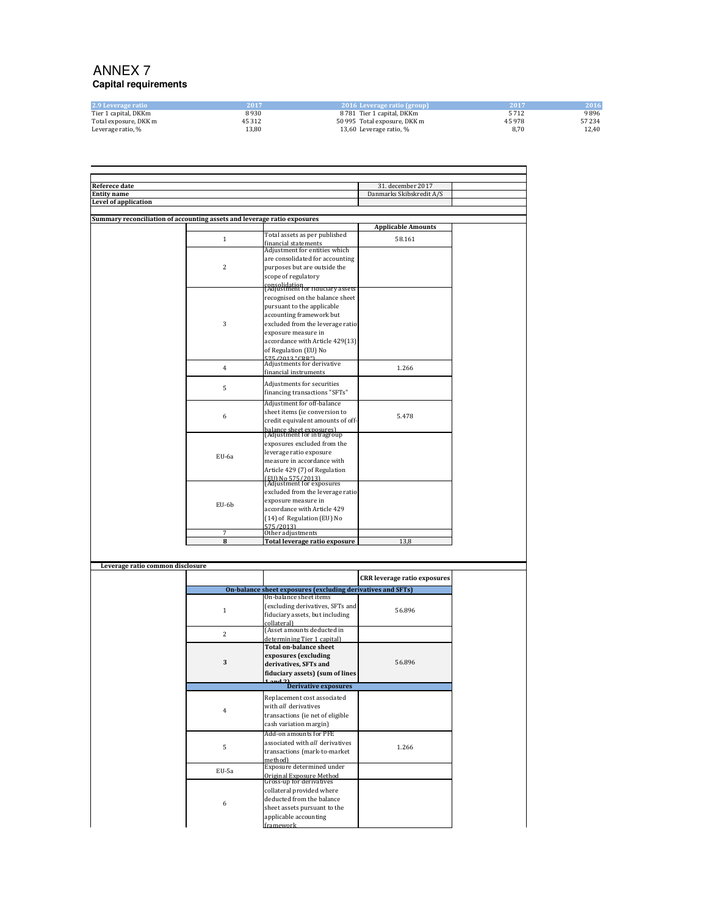### ANNEX 7 **Capital requirements**

| 2.9 Leverage ratio    | 2017   | 2016 Leverage ratio (group)  | 2017   | 2016   |
|-----------------------|--------|------------------------------|--------|--------|
| Tier 1 capital, DKKm  | 8930   | 8 781 Tier 1 capital. DKKm   | 5712   | 9896   |
| Total exposure, DKK m | 45 312 | 50 995 Total exposure, DKK m | 45 978 | 57 234 |
| Leverage ratio, %     | 13.80  | 13,60 Leverage ratio, %      | 8.70   | 12.40  |

| <b>Referece date</b>                                                     |                |                                                             | 31. december 2017                   |  |
|--------------------------------------------------------------------------|----------------|-------------------------------------------------------------|-------------------------------------|--|
| <b>Entity</b> name                                                       |                |                                                             | Danmarks Skibskredit A/S            |  |
| Level of application                                                     |                |                                                             |                                     |  |
|                                                                          |                |                                                             |                                     |  |
| Summary reconciliation of accounting assets and leverage ratio exposures |                |                                                             |                                     |  |
|                                                                          |                | Total assets as per published                               | <b>Applicable Amounts</b>           |  |
|                                                                          | $\,1\,$        |                                                             | 58.161                              |  |
|                                                                          |                | financial statements<br>Adjustment for entities which       |                                     |  |
|                                                                          |                | are consolidated for accounting                             |                                     |  |
|                                                                          | $\overline{2}$ | purposes but are outside the                                |                                     |  |
|                                                                          |                | scope of regulatory                                         |                                     |  |
|                                                                          |                | consolidation<br>[Adjustment for nauciary assets            |                                     |  |
|                                                                          |                |                                                             |                                     |  |
|                                                                          |                | recognised on the balance sheet                             |                                     |  |
|                                                                          |                | pursuant to the applicable                                  |                                     |  |
|                                                                          | 3              | accounting framework but                                    |                                     |  |
|                                                                          |                | excluded from the leverage ratio                            |                                     |  |
|                                                                          |                | exposure measure in                                         |                                     |  |
|                                                                          |                | accordance with Article 429(13)<br>of Regulation (EU) No    |                                     |  |
|                                                                          |                | 575/2013 "CDD")                                             |                                     |  |
|                                                                          | $\overline{4}$ | Adjustments for derivative                                  |                                     |  |
|                                                                          |                | financial instruments                                       | 1.266                               |  |
|                                                                          |                | Adjustments for securities                                  |                                     |  |
|                                                                          | 5              | financing transactions "SFTs"                               |                                     |  |
|                                                                          |                | Adjustment for off-balance                                  |                                     |  |
|                                                                          |                | sheet items (ie conversion to                               |                                     |  |
|                                                                          | 6              | credit equivalent amounts of off-                           | 5.478                               |  |
|                                                                          |                |                                                             |                                     |  |
|                                                                          |                | balance sheet exposures)<br>(Adjustment for intragroup      |                                     |  |
|                                                                          |                | exposures excluded from the                                 |                                     |  |
|                                                                          |                | leverage ratio exposure                                     |                                     |  |
|                                                                          | EU-6a          | measure in accordance with                                  |                                     |  |
|                                                                          |                | Article 429 (7) of Regulation                               |                                     |  |
|                                                                          |                | (EII) No 575/2013)<br>(Adjustment for exposures             |                                     |  |
|                                                                          |                | excluded from the leverage ratio                            |                                     |  |
|                                                                          |                | exposure measure in                                         |                                     |  |
|                                                                          | EU-6b          | accordance with Article 429                                 |                                     |  |
|                                                                          |                | (14) of Regulation (EU) No                                  |                                     |  |
|                                                                          |                | 575/2013)                                                   |                                     |  |
|                                                                          | 7              | Other adjustments                                           |                                     |  |
|                                                                          | 8              | Total leverage ratio exposure                               | 13,8                                |  |
|                                                                          |                |                                                             |                                     |  |
| Leverage ratio common disclosure                                         |                |                                                             |                                     |  |
|                                                                          |                |                                                             |                                     |  |
|                                                                          |                |                                                             | <b>CRR</b> leverage ratio exposures |  |
|                                                                          |                | On-balance sheet exposures (excluding derivatives and SFTs) |                                     |  |
|                                                                          |                | On-balance sheet items                                      |                                     |  |
|                                                                          | $\,1\,$        | (excluding derivatives, SFTs and                            | 56.896                              |  |
|                                                                          |                | fiduciary assets, but including                             |                                     |  |
|                                                                          |                | collateral)<br>(Asset amounts deducted in                   |                                     |  |
|                                                                          | $\overline{c}$ | determining Tier 1 capital)                                 |                                     |  |
|                                                                          |                | <b>Total on-balance sheet</b>                               |                                     |  |
|                                                                          |                | exposures (excluding                                        |                                     |  |
|                                                                          | 3              | derivatives, SFTs and                                       | 56.896                              |  |
|                                                                          |                | fiduciary assets) (sum of lines                             |                                     |  |
|                                                                          |                |                                                             |                                     |  |
|                                                                          |                | <b>Derivative exposures</b>                                 |                                     |  |
|                                                                          |                | Replacement cost associated                                 |                                     |  |
|                                                                          | 4              | with all derivatives                                        |                                     |  |
|                                                                          |                |                                                             |                                     |  |

| $\cdot$ | derivatives, SFTs and<br>fiduciary assets) (sum of lines                                                          | 50.070 |
|---------|-------------------------------------------------------------------------------------------------------------------|--------|
|         | $1$ and $21$<br><b>Derivative exposures</b>                                                                       |        |
|         |                                                                                                                   |        |
| 4       | Replacement cost associated<br>with all derivatives<br>transactions (ie net of eligible<br>cash variation margin) |        |
|         | Add-on amounts for PFE                                                                                            |        |
| 5       | associated with all derivatives                                                                                   | 1.266  |
|         | transactions (mark-to-market                                                                                      |        |
|         | method)                                                                                                           |        |
| EU-5a   | Exposure determined under                                                                                         |        |
|         | Original Exposure Method<br>Gross-up for derivatives                                                              |        |
|         | collateral provided where                                                                                         |        |
|         | deducted from the balance                                                                                         |        |
| 6       | sheet assets pursuant to the                                                                                      |        |
|         | applicable accounting                                                                                             |        |
|         | framework                                                                                                         |        |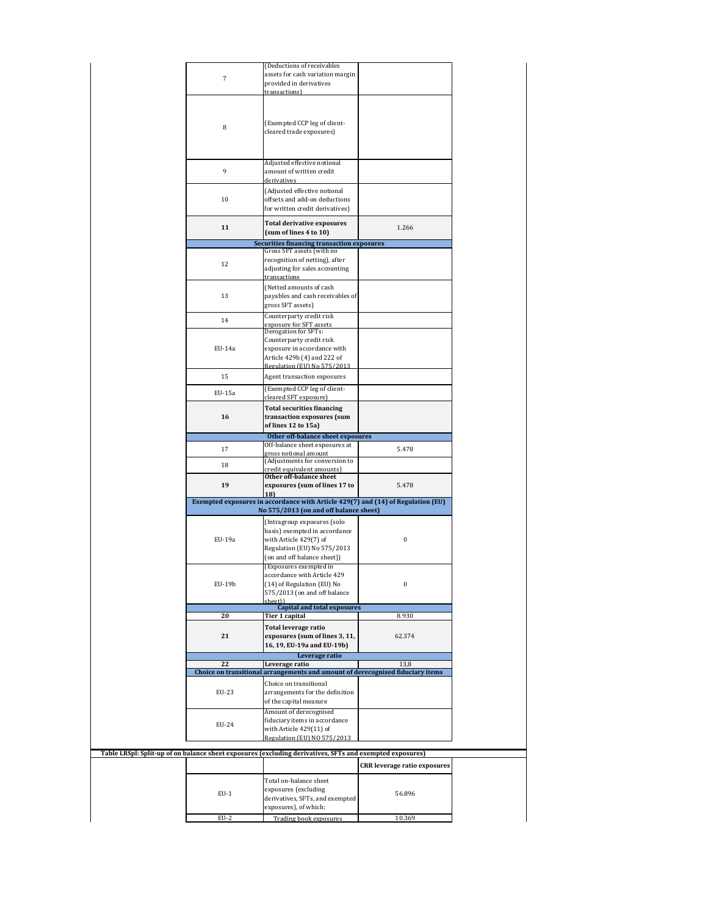|                | (Deductions of receivables                                                                               |                                     |
|----------------|----------------------------------------------------------------------------------------------------------|-------------------------------------|
| $\overline{7}$ | assets for cash variation margin                                                                         |                                     |
|                | provided in derivatives<br>transactions)                                                                 |                                     |
|                |                                                                                                          |                                     |
|                |                                                                                                          |                                     |
|                |                                                                                                          |                                     |
|                | (Exempted CCP leg of client-                                                                             |                                     |
| 8              | cleared trade exposures)                                                                                 |                                     |
|                |                                                                                                          |                                     |
|                |                                                                                                          |                                     |
|                |                                                                                                          |                                     |
| 9              | Adjusted effective notional                                                                              |                                     |
|                | amount of written credit<br>derivatives                                                                  |                                     |
|                |                                                                                                          |                                     |
|                | (Adjusted effective notional                                                                             |                                     |
| 10             | offsets and add-on deductions                                                                            |                                     |
|                | for written credit derivatives)                                                                          |                                     |
|                | <b>Total derivative exposures</b>                                                                        |                                     |
| 11             | (sum of lines 4 to 10)                                                                                   | 1.266                               |
|                |                                                                                                          |                                     |
|                | <b>Securities financing transaction exposures</b><br>Gross SFT assets (with no                           |                                     |
|                | recognition of netting), after                                                                           |                                     |
| 12             | adjusting for sales accounting                                                                           |                                     |
|                | transactions                                                                                             |                                     |
|                |                                                                                                          |                                     |
| 13             | (Netted amounts of cash                                                                                  |                                     |
|                | payables and cash receivables of<br>gross SFT assets)                                                    |                                     |
|                |                                                                                                          |                                     |
| 14             | Counterparty credit risk                                                                                 |                                     |
|                | exposure for SFT assets<br>Derogation for SFTs:                                                          |                                     |
|                | Counterparty credit risk                                                                                 |                                     |
| EU-14a         | exposure in accordance with                                                                              |                                     |
|                | Article 429b (4) and 222 of                                                                              |                                     |
|                | Regulation (EII) No 575/2013                                                                             |                                     |
| 15             | Agent transaction exposures                                                                              |                                     |
|                |                                                                                                          |                                     |
| EU-15a         | (Exempted CCP leg of client-                                                                             |                                     |
|                | cleared SFT exposure)                                                                                    |                                     |
|                | <b>Total securities financing</b>                                                                        |                                     |
| 16             | transaction exposures (sum                                                                               |                                     |
|                | of lines 12 to 15a)                                                                                      |                                     |
|                | Other off-balance sheet exposures                                                                        |                                     |
| 17             | Off-balance sheet exposures at                                                                           | 5.478                               |
|                | gross notional amount                                                                                    |                                     |
| 18             | (Adjustments for conversion to                                                                           |                                     |
|                | credit equivalent amounts)                                                                               |                                     |
| 19             | Other off-balance sheet                                                                                  | 5.478                               |
|                | exposures (sum of lines 17 to                                                                            |                                     |
|                |                                                                                                          |                                     |
|                | 18)                                                                                                      |                                     |
|                | Exempted exposures in accordance with Article 429(7) and (14) of Regulation (EU)                         |                                     |
|                | No 575/2013 (on and off balance sheet)                                                                   |                                     |
|                | (Intragroup exposures (solo                                                                              |                                     |
|                | basis) exempted in accordance                                                                            |                                     |
| EU-19a         | with Article 429(7) of                                                                                   | $\boldsymbol{0}$                    |
|                | Regulation (EU) No 575/2013                                                                              |                                     |
|                | (on and off balance sheet))                                                                              |                                     |
|                | (Exposures exempted in                                                                                   |                                     |
|                | accordance with Article 429                                                                              |                                     |
| EU-19b         | (14) of Regulation (EU) No                                                                               | $\boldsymbol{0}$                    |
|                | 575/2013 (on and off balance                                                                             |                                     |
|                | sheet))<br><b>Capital and total exposures</b>                                                            |                                     |
| 20             | Tier 1 capital                                                                                           | 8.930                               |
|                |                                                                                                          |                                     |
|                | Total leverage ratio                                                                                     |                                     |
| 21             | exposures (sum of lines 3, 11,                                                                           | 62.374                              |
|                | 16, 19, EU-19a and EU-19b)                                                                               |                                     |
|                | Leverage ratio                                                                                           |                                     |
| 22             | Leverage ratio                                                                                           | 13,8                                |
|                | Choice on transitional arrangements and amount of derecognised fiduciary items                           |                                     |
|                | Choice on transitional                                                                                   |                                     |
| EU-23          | arrangements for the definition                                                                          |                                     |
|                | of the capital measure                                                                                   |                                     |
|                | Amount of derecognised                                                                                   |                                     |
| EU-24          | fiduciary items in accordance                                                                            |                                     |
|                | with Article 429(11) of                                                                                  |                                     |
|                | Regulation (EU) NO 575/2013                                                                              |                                     |
|                |                                                                                                          |                                     |
|                | Table LRSpl: Split-up of on balance sheet exposures (excluding derivatives, SFTs and exempted exposures) |                                     |
|                |                                                                                                          | <b>CRR</b> leverage ratio exposures |
|                |                                                                                                          |                                     |
|                | Total on-balance sheet                                                                                   |                                     |
| $EU-1$         | exposures (excluding                                                                                     | 56.896                              |
|                | derivatives, SFTs, and exempted                                                                          |                                     |
| $EU-2$         | exposures), of which:<br>Trading book exposures                                                          | 10.369                              |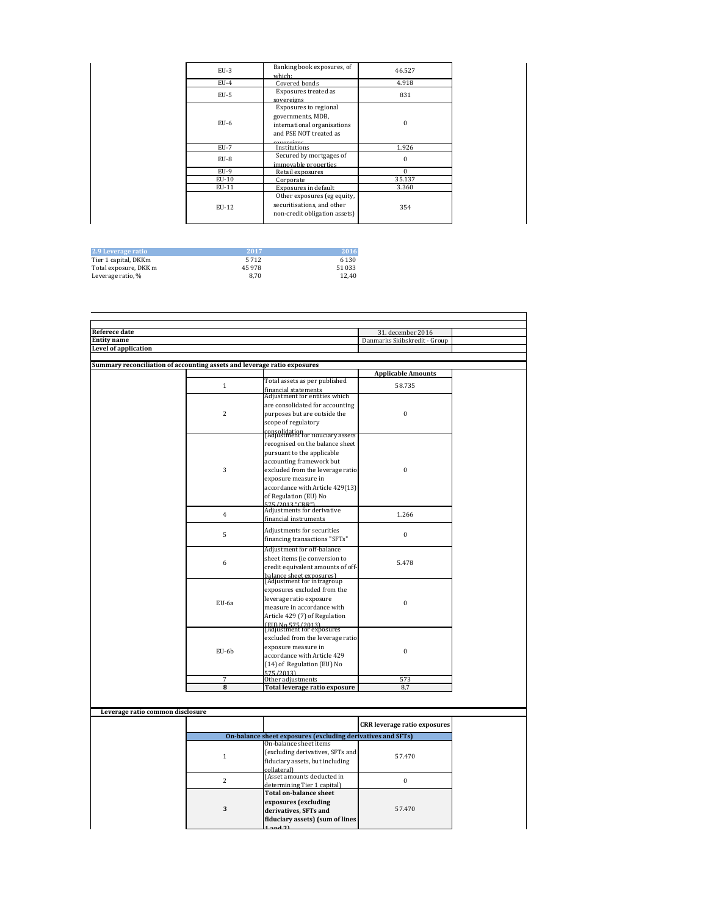| $EU-3$ | Banking book exposures, of<br>which:                                                                               | 46.527       |  |
|--------|--------------------------------------------------------------------------------------------------------------------|--------------|--|
| $EU-4$ | Covered bonds                                                                                                      | 4.918        |  |
| $EU-5$ | Exposures treated as<br>sovereigns                                                                                 | 831          |  |
| $EU-6$ | Exposures to regional<br>governments, MDB,<br>international organisations<br>and PSE NOT treated as<br>corroroiano | $\mathbf{0}$ |  |
| $EU-7$ | Institutions                                                                                                       | 1.926        |  |
| $EU-8$ | Secured by mortgages of<br>immovable properties                                                                    | $\mathbf{0}$ |  |
| $EU-9$ | Retail exposures                                                                                                   | $\Omega$     |  |
| EU-10  | Corporate                                                                                                          | 35.137       |  |
| EU-11  | Exposures in default                                                                                               | 3.360        |  |
| EU-12  | Other exposures (eg equity,<br>securitisations, and other<br>non-credit obligation assets)                         | 354          |  |

| 2.9 Leverage ratio    | -2017 | 2016    |
|-----------------------|-------|---------|
| Tier 1 capital, DKKm  | 5712  | 6 1 3 0 |
| Total exposure, DKK m | 45978 | 51 033  |
| Leverage ratio, %     | 8.70  | 12.40   |

| <b>Referece date</b>                                                     |                |                                                        | 31. december 2016            |  |
|--------------------------------------------------------------------------|----------------|--------------------------------------------------------|------------------------------|--|
| <b>Entity name</b>                                                       |                |                                                        | Danmarks Skibskredit - Group |  |
| <b>Level of application</b>                                              |                |                                                        |                              |  |
|                                                                          |                |                                                        |                              |  |
| Summary reconciliation of accounting assets and leverage ratio exposures |                |                                                        |                              |  |
|                                                                          |                |                                                        | <b>Applicable Amounts</b>    |  |
|                                                                          | $\mathbf{1}$   | Total assets as per published                          | 58.735                       |  |
|                                                                          |                | financial statements<br>Adjustment for entities which  |                              |  |
|                                                                          |                |                                                        |                              |  |
|                                                                          |                | are consolidated for accounting                        |                              |  |
|                                                                          | $\overline{c}$ | purposes but are outside the                           | $\mathbf{0}$                 |  |
|                                                                          |                | scope of regulatory                                    |                              |  |
|                                                                          |                | consolidation<br>[Adjustment for nauciary assets]      |                              |  |
|                                                                          |                | recognised on the balance sheet                        |                              |  |
|                                                                          |                | pursuant to the applicable                             |                              |  |
|                                                                          |                | accounting framework but                               |                              |  |
|                                                                          | 3              | excluded from the leverage ratio                       | $\Omega$                     |  |
|                                                                          |                | exposure measure in                                    |                              |  |
|                                                                          |                | accordance with Article 429(13)                        |                              |  |
|                                                                          |                | of Regulation (EU) No                                  |                              |  |
|                                                                          |                | <b>575/2013 "CRP"</b>                                  |                              |  |
|                                                                          | $\overline{4}$ | Adjustments for derivative                             | 1.266                        |  |
|                                                                          |                | financial instruments                                  |                              |  |
|                                                                          |                | Adjustments for securities                             |                              |  |
|                                                                          | 5              | financing transactions "SFTs"                          | $\mathbf{0}$                 |  |
|                                                                          |                | Adjustment for off-balance                             |                              |  |
|                                                                          |                | sheet items (ie conversion to                          |                              |  |
|                                                                          | 6              | credit equivalent amounts of off-                      | 5.478                        |  |
|                                                                          |                |                                                        |                              |  |
|                                                                          |                | balance sheet exposures)<br>(Adjustment for intragroup |                              |  |
|                                                                          |                | exposures excluded from the                            |                              |  |
|                                                                          |                | leverage ratio exposure                                |                              |  |
|                                                                          | EU-6a          | measure in accordance with                             | $\Omega$                     |  |
|                                                                          |                | Article 429 (7) of Regulation                          |                              |  |
|                                                                          |                |                                                        |                              |  |
|                                                                          |                | (EU) No 575/2013)<br>(Adjustment for exposures         |                              |  |
|                                                                          |                | excluded from the leverage ratio                       |                              |  |
|                                                                          | EU-6b          | exposure measure in                                    | $\mathbf{0}$                 |  |
|                                                                          |                | accordance with Article 429                            |                              |  |
|                                                                          |                | (14) of Regulation (EU) No                             |                              |  |
|                                                                          |                | 575/2013)                                              |                              |  |
|                                                                          | $\overline{7}$ | Other adjustments                                      | 573                          |  |
|                                                                          | 8              | Total leverage ratio exposure                          | 8,7                          |  |

| Leverage ratio common disclosure |   |                                                             |                                     |  |
|----------------------------------|---|-------------------------------------------------------------|-------------------------------------|--|
|                                  |   |                                                             | <b>CRR</b> leverage ratio exposures |  |
|                                  |   | On-balance sheet exposures (excluding derivatives and SFTs) |                                     |  |
|                                  |   | On-balance sheet items                                      |                                     |  |
|                                  |   | (excluding derivatives, SFTs and                            | 57.470                              |  |
|                                  |   | fiduciary assets, but including                             |                                     |  |
|                                  |   | collateral)                                                 |                                     |  |
|                                  | 2 | (Asset amounts deducted in                                  |                                     |  |
|                                  |   | determining Tier 1 capital)                                 |                                     |  |
|                                  |   | <b>Total on-balance sheet</b>                               |                                     |  |
|                                  |   | exposures (excluding                                        |                                     |  |
|                                  | 3 | derivatives, SFTs and                                       | 57.470                              |  |
|                                  |   | fiduciary assets) (sum of lines                             |                                     |  |
|                                  |   | $1$ and $21$                                                |                                     |  |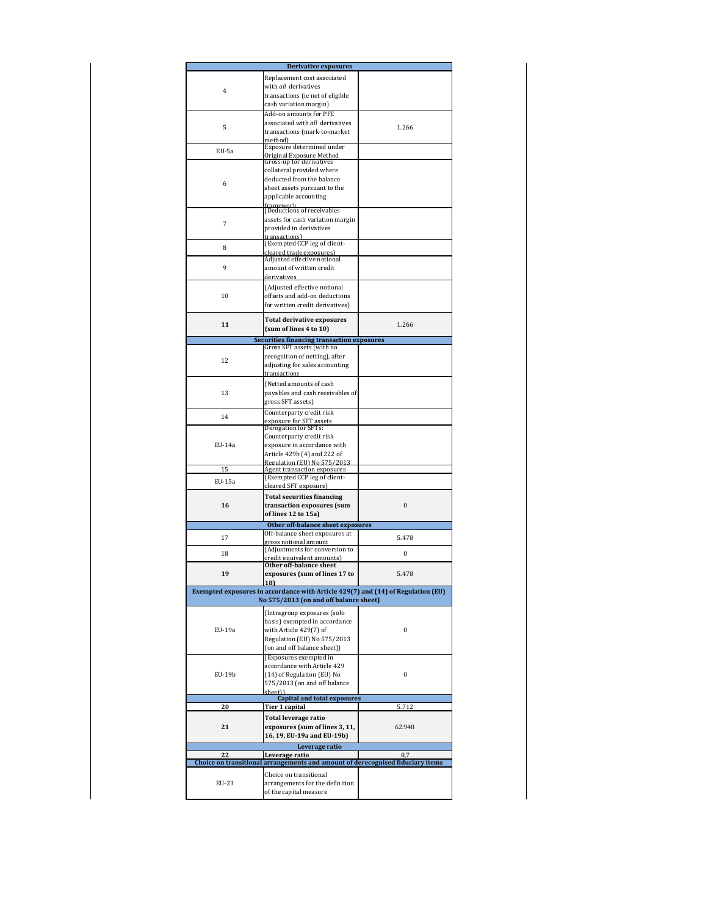|        | Derivative exposures                                                             |          |
|--------|----------------------------------------------------------------------------------|----------|
|        | Replacement cost associated                                                      |          |
|        | with all derivatives                                                             |          |
| 4      | transactions (ie net of eligible                                                 |          |
|        | cash variation margin)                                                           |          |
|        | Add-on amounts for PFE                                                           |          |
|        | associated with all derivatives                                                  |          |
| 5      | transactions (mark-to-market                                                     | 1.266    |
|        | method).                                                                         |          |
| EU-5a  | Exposure determined under                                                        |          |
|        | Original Exposure Method<br>Gross-up for derivatives                             |          |
|        | collateral provided where                                                        |          |
|        | deducted from the balance                                                        |          |
| 6      | sheet assets pursuant to the                                                     |          |
|        | applicable accounting                                                            |          |
|        | framework                                                                        |          |
|        | (Deductions of receivables                                                       |          |
| 7      | assets for cash variation margin                                                 |          |
|        | provided in derivatives                                                          |          |
|        | transactions)                                                                    |          |
| 8      | (Exempted CCP leg of client-                                                     |          |
|        | cleared trade exposures)<br>Adjusted effective notional                          |          |
| 9      | amount of written credit                                                         |          |
|        | derivatives                                                                      |          |
|        |                                                                                  |          |
|        | (Adjusted effective notional                                                     |          |
| 10     | offsets and add-on deductions                                                    |          |
|        | for written credit derivatives)                                                  |          |
|        | <b>Total derivative exposures</b>                                                |          |
| 11     | (sum of lines 4 to 10)                                                           | 1.266    |
|        | <b>Securities financing transaction exposures</b>                                |          |
|        | Gross SFT assets (with no                                                        |          |
|        | recognition of netting), after                                                   |          |
| 12     | adjusting for sales accounting                                                   |          |
|        | transactions                                                                     |          |
|        | (Netted amounts of cash                                                          |          |
| 13     | payables and cash receivables of                                                 |          |
|        | gross SFT assets)                                                                |          |
|        |                                                                                  |          |
| 14     | Counterparty credit risk<br>exposure for SFT assets                              |          |
|        | Derogation for SFTs:                                                             |          |
|        | Counterparty credit risk                                                         |          |
| EU-14a | exposure in accordance with                                                      |          |
|        | Article 429b (4) and 222 of                                                      |          |
|        | Regulation (EU) No 575/2013                                                      |          |
| 15     | Agent transaction exposures                                                      |          |
| EU-15a | (Exempted CCP leg of client-                                                     |          |
|        | cleared SFT exposure)                                                            |          |
|        | <b>Total securities financing</b>                                                |          |
| 16     | transaction exposures (sum                                                       | $\bf{0}$ |
|        | of lines 12 to 15a)                                                              |          |
|        | Other off-balance sheet exposures                                                |          |
|        | Off-balance sheet exposures at                                                   |          |
| 17     | gross notional amount                                                            | 5.478    |
| 18     | (Adjustments for conversion to                                                   | 0        |
|        | credit equivalent amounts)                                                       |          |
|        |                                                                                  |          |
|        | Other off-balance sheet                                                          |          |
| 19     | exposures (sum of lines 17 to                                                    | 5.478    |
|        | <b>18</b>                                                                        |          |
|        | Exempted exposures in accordance with Article 429(7) and (14) of Regulation (EU) |          |
|        | No 575/2013 (on and off balance sheet)                                           |          |
|        | (Intragroup exposures (solo                                                      |          |
|        | basis) exempted in accordance                                                    |          |
| EU-19a | with Article 429(7) of                                                           | 0        |
|        | Regulation (EU) No 575/2013                                                      |          |
|        | (on and off balance sheet))                                                      |          |
|        | (Exposures exempted in                                                           |          |
|        | accordance with Article 429                                                      |          |
| EU-19b | (14) of Regulation (EU) No                                                       | 0        |
|        | 575/2013 (on and off balance                                                     |          |
|        | sheet))                                                                          |          |
|        | <b>Capital and total exposures</b>                                               |          |
| 20     | Tier 1 capital                                                                   | 5.712    |
|        | Total leverage ratio                                                             |          |
| 21     | exposures (sum of lines 3, 11,                                                   | 62.948   |
|        | 16, 19, EU-19a and EU-19b)                                                       |          |
|        | Leverage ratio                                                                   |          |
| 22     | Leverage ratio                                                                   | 8,7      |
|        | Choice on transitional arrangements and amount of derecognised fiduciary items   |          |
|        | Choice on transitional                                                           |          |
| EU-23  | arrangements for the definition                                                  |          |
|        | of the capital measure                                                           |          |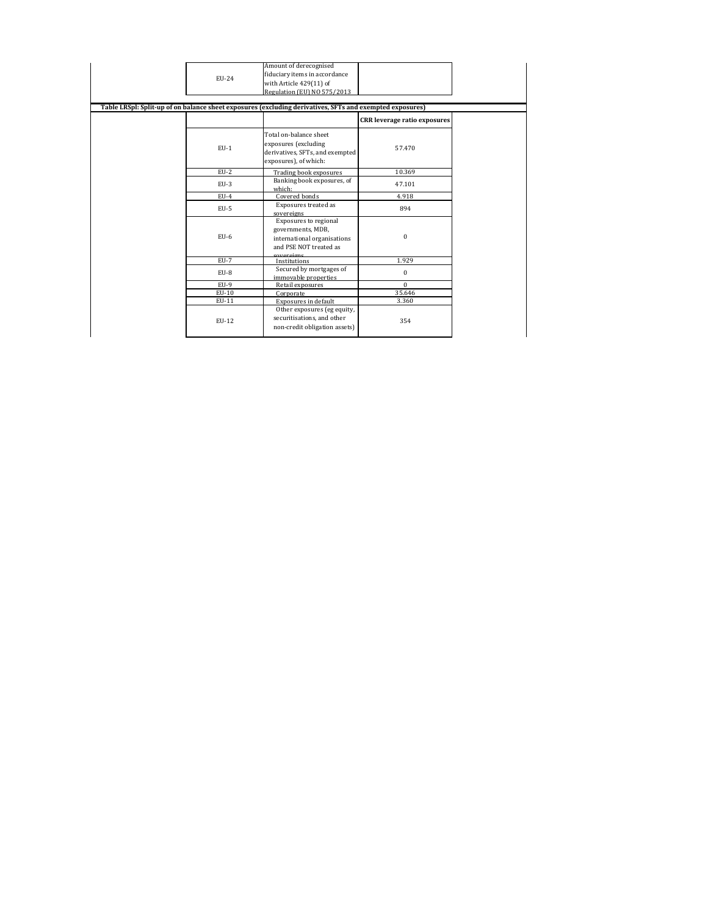| EU-24<br>Table LRSpl: Split-up of on balance sheet exposures (excluding derivatives, SFTs and exempted exposures) | Amount of derecognised<br>fiduciary items in accordance<br>with Article 429(11) of<br>Regulation (EU) NO 575/2013 |                                     |
|-------------------------------------------------------------------------------------------------------------------|-------------------------------------------------------------------------------------------------------------------|-------------------------------------|
|                                                                                                                   |                                                                                                                   | <b>CRR</b> leverage ratio exposures |
| $EU-1$                                                                                                            | Total on-balance sheet<br>exposures (excluding<br>derivatives, SFTs, and exempted<br>exposures), of which:        | 57.470                              |
| $EU-2$                                                                                                            | Trading book exposures                                                                                            | 10.369                              |
| $EU-3$                                                                                                            | Banking book exposures, of<br>which:                                                                              | 47.101                              |
| $EU-4$                                                                                                            | Covered bonds                                                                                                     | 4.918                               |
| $EU-5$                                                                                                            | Exposures treated as<br>sovereigns                                                                                | 894                                 |
| $EU-6$                                                                                                            | Exposures to regional<br>governments, MDB,<br>international organisations<br>and PSE NOT treated as<br>covereigne | $\Omega$                            |
| $EU-7$                                                                                                            | Institutions                                                                                                      | 1.929                               |
| $EU-8$                                                                                                            | Secured by mortgages of<br>immovable properties                                                                   | $\mathbf{0}$                        |
| $EU-9$                                                                                                            | Retail exposures                                                                                                  | $\Omega$                            |
| EU-10                                                                                                             | Corporate                                                                                                         | 35.646                              |
| EU-11                                                                                                             | Exposures in default                                                                                              | 3.360                               |
| EU-12                                                                                                             | Other exposures (eg equity,<br>securitisations, and other<br>non-credit obligation assets)                        | 354                                 |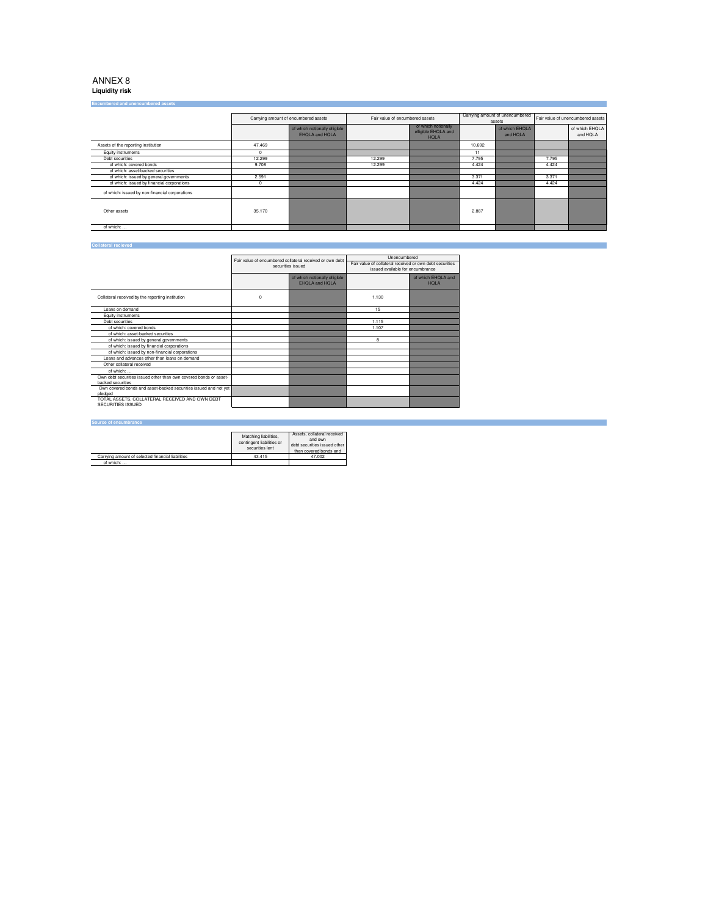**Liquidity risk**

| <b>Encumbered and unencumbered assets</b>      |                                      |                                                 |                                 |                                                           |                                                                             |                            |       |                            |
|------------------------------------------------|--------------------------------------|-------------------------------------------------|---------------------------------|-----------------------------------------------------------|-----------------------------------------------------------------------------|----------------------------|-------|----------------------------|
|                                                |                                      |                                                 |                                 |                                                           |                                                                             |                            |       |                            |
|                                                | Carrying amount of encumbered assets |                                                 | Fair value of encumbered assets |                                                           | Carrying amount of unencumbered Fair value of unencumbered assets<br>assets |                            |       |                            |
|                                                |                                      | of which notionally elligible<br>EHOLA and HOLA |                                 | of which notionally<br>elligible EHQLA and<br><b>HOLA</b> |                                                                             | of which EHQLA<br>and HOLA |       | of which EHQLA<br>and HOLA |
| Assets of the reporting institution            | 47.469                               |                                                 |                                 |                                                           | 10.692                                                                      |                            |       |                            |
| Equity instruments                             | $\Omega$                             |                                                 |                                 |                                                           | 11                                                                          |                            |       |                            |
| Debt securities                                | 12.299                               |                                                 | 12.299                          |                                                           | 7.795                                                                       |                            | 7.795 |                            |
| of which: covered bonds                        | 9.708                                |                                                 | 12.299                          |                                                           | 4.424                                                                       |                            | 4.424 |                            |
| of which: asset-backed securities              |                                      |                                                 |                                 |                                                           |                                                                             |                            |       |                            |
| of which: issued by general governments        | 2.591                                |                                                 |                                 |                                                           | 3.371                                                                       |                            | 3.371 |                            |
| of which: issued by financial corporations     | $\mathbf 0$                          |                                                 |                                 |                                                           | 4.424                                                                       |                            | 4.424 |                            |
| of which: issued by non-financial corporations |                                      |                                                 |                                 |                                                           |                                                                             |                            |       |                            |
| Other assets                                   | 35.170                               |                                                 |                                 |                                                           | 2.887                                                                       |                            |       |                            |
| of which:                                      |                                      |                                                 |                                 |                                                           |                                                                             |                            |       |                            |

#### **Collateral recieved**

|                                                                                        | Fair value of encumbered collateral received or own debt<br>securities issued |                                                 | Unencumbered                                                                                 |                                   |
|----------------------------------------------------------------------------------------|-------------------------------------------------------------------------------|-------------------------------------------------|----------------------------------------------------------------------------------------------|-----------------------------------|
|                                                                                        |                                                                               |                                                 | Fair value of collateral received or own debt securities<br>issued available for encumbrance |                                   |
|                                                                                        |                                                                               | of which notionally elligible<br>EHOLA and HOLA |                                                                                              | of which EHQLA and<br><b>HOLA</b> |
| Collateral received by the reporting institution                                       | $\mathbf 0$                                                                   |                                                 | 1.130                                                                                        |                                   |
| Loans on demand                                                                        |                                                                               |                                                 | 15                                                                                           |                                   |
| Equity instruments                                                                     |                                                                               |                                                 |                                                                                              |                                   |
| Debt securities                                                                        |                                                                               |                                                 | 1.115                                                                                        |                                   |
| of which: covered bonds                                                                |                                                                               |                                                 | 1.107                                                                                        |                                   |
| of which: asset-backed securities                                                      |                                                                               |                                                 |                                                                                              |                                   |
| of which: issued by general governments                                                |                                                                               |                                                 | 8                                                                                            |                                   |
| of which: issued by financial corporations                                             |                                                                               |                                                 |                                                                                              |                                   |
| of which: issued by non-financial corporations                                         |                                                                               |                                                 |                                                                                              |                                   |
| Loans and advances other than loans on demand                                          |                                                                               |                                                 |                                                                                              |                                   |
| Other collateral received                                                              |                                                                               |                                                 |                                                                                              |                                   |
| of which:                                                                              |                                                                               |                                                 |                                                                                              |                                   |
| Own debt securities issued other than own covered bonds or asset-<br>hacked securities |                                                                               |                                                 |                                                                                              |                                   |
| Own covered bonds and asset-backed securities issued and not yet<br>pledged            |                                                                               |                                                 |                                                                                              |                                   |
| TOTAL ASSETS, COLLATERAL RECEIVED AND OWN DEBT<br>SECURITIES ISSUED                    |                                                                               |                                                 |                                                                                              |                                   |

#### **Source of encumbrance**

|                                                   | Matching liabilities.<br>contingent liabilities or<br>securities lent | Assets, collateral received<br>and own<br>debt securities issued other<br>than covered bonds and |
|---------------------------------------------------|-----------------------------------------------------------------------|--------------------------------------------------------------------------------------------------|
| Carrying amount of selected financial liabilities | 43.415                                                                | 47.002                                                                                           |
| of which:                                         |                                                                       |                                                                                                  |